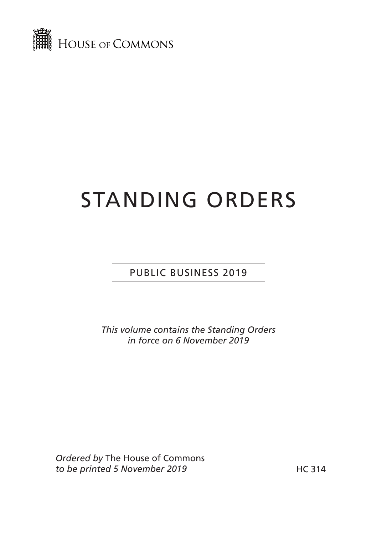

## STANDING ORDERS

PUBLIC BUSINESS 2019

*This volume contains the Standing Orders in force on 6 November 2019*

*Ordered by* The House of Commons to be printed 5 November 2019 **HC 314**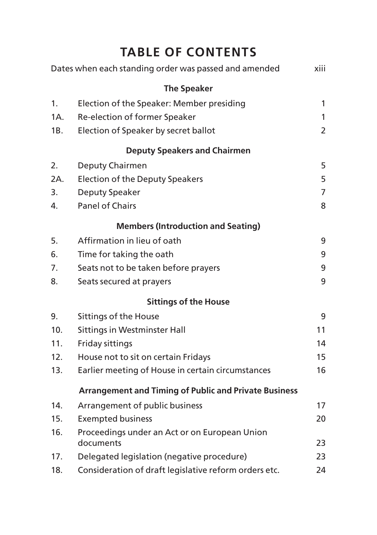## **TABLE OF CONTENTS**

|     | Dates when each standing order was passed and amended        | xiii           |
|-----|--------------------------------------------------------------|----------------|
|     | <b>The Speaker</b>                                           |                |
| 1.  | Election of the Speaker: Member presiding                    | 1              |
| 1A. | Re-election of former Speaker                                | 1              |
| 1B. | Election of Speaker by secret ballot                         | $\overline{2}$ |
|     | <b>Deputy Speakers and Chairmen</b>                          |                |
| 2.  | Deputy Chairmen                                              | 5              |
| 2A. | <b>Election of the Deputy Speakers</b>                       | 5              |
| 3.  | Deputy Speaker                                               | $\overline{7}$ |
| 4.  | <b>Panel of Chairs</b>                                       | 8              |
|     | <b>Members (Introduction and Seating)</b>                    |                |
| 5.  | Affirmation in lieu of oath                                  | 9              |
| 6.  | Time for taking the oath                                     | 9              |
| 7.  | Seats not to be taken before prayers                         | 9              |
| 8.  | Seats secured at prayers                                     | 9              |
|     | <b>Sittings of the House</b>                                 |                |
| 9.  | Sittings of the House                                        | 9              |
| 10. | <b>Sittings in Westminster Hall</b>                          | 11             |
| 11. | Friday sittings                                              | 14             |
| 12. | House not to sit on certain Fridays                          | 15             |
| 13. | Earlier meeting of House in certain circumstances            | 16             |
|     | <b>Arrangement and Timing of Public and Private Business</b> |                |
| 14. | Arrangement of public business                               | 17             |
| 15. | <b>Exempted business</b>                                     | 20             |
| 16. | Proceedings under an Act or on European Union<br>documents   | 23             |
| 17. | Delegated legislation (negative procedure)                   | 23             |
| 18. | Consideration of draft legislative reform orders etc.        | 24             |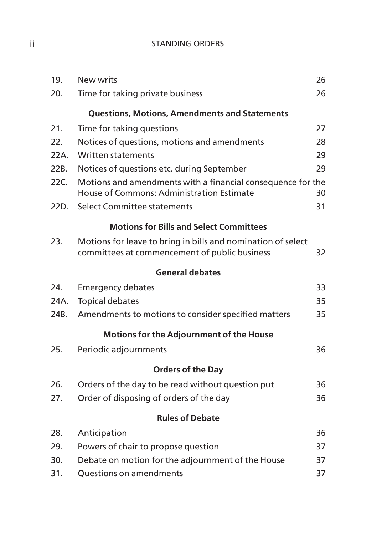| 19.  | New writs                                                                                                     | 26 |
|------|---------------------------------------------------------------------------------------------------------------|----|
| 20.  | Time for taking private business                                                                              | 26 |
|      | <b>Questions, Motions, Amendments and Statements</b>                                                          |    |
| 21.  | Time for taking questions                                                                                     | 27 |
| 22.  | Notices of questions, motions and amendments                                                                  | 28 |
| 22A. | <b>Written statements</b>                                                                                     | 29 |
| 22B. | Notices of questions etc. during September                                                                    | 29 |
| 22C. | Motions and amendments with a financial consequence for the<br>House of Commons: Administration Estimate      | 30 |
| 22D. | Select Committee statements                                                                                   | 31 |
|      | <b>Motions for Bills and Select Committees</b>                                                                |    |
| 23.  | Motions for leave to bring in bills and nomination of select<br>committees at commencement of public business | 32 |
|      | <b>General debates</b>                                                                                        |    |
| 24.  | <b>Emergency debates</b>                                                                                      | 33 |
| 24A. | <b>Topical debates</b>                                                                                        | 35 |
| 24B. | Amendments to motions to consider specified matters                                                           | 35 |
|      | Motions for the Adjournment of the House                                                                      |    |
| 25.  | Periodic adjournments                                                                                         | 36 |
|      | <b>Orders of the Day</b>                                                                                      |    |
| 26.  | Orders of the day to be read without question put                                                             | 36 |
| 27.  | Order of disposing of orders of the day                                                                       | 36 |
|      | <b>Rules of Debate</b>                                                                                        |    |
| 28.  | Anticipation                                                                                                  | 36 |
| 29.  | Powers of chair to propose question                                                                           | 37 |
| 30.  | Debate on motion for the adjournment of the House                                                             | 37 |
| 31.  | Questions on amendments                                                                                       | 37 |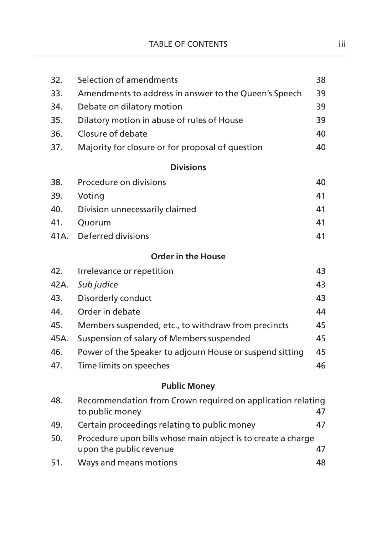| 32.  | Selection of amendments                                                                 | 38 |
|------|-----------------------------------------------------------------------------------------|----|
| 33.  | Amendments to address in answer to the Queen's Speech                                   | 39 |
| 34.  | Debate on dilatory motion                                                               | 39 |
| 35.  | Dilatory motion in abuse of rules of House                                              | 39 |
| 36.  | Closure of debate                                                                       | 40 |
| 37.  | Majority for closure or for proposal of question                                        | 40 |
|      | <b>Divisions</b>                                                                        |    |
| 38.  | Procedure on divisions                                                                  | 40 |
| 39.  | Voting                                                                                  | 41 |
| 40.  | Division unnecessarily claimed                                                          | 41 |
| 41.  | Quorum                                                                                  | 41 |
| 41A. | Deferred divisions                                                                      | 41 |
|      | <b>Order in the House</b>                                                               |    |
| 42.  | Irrelevance or repetition                                                               | 43 |
| 42A. | Sub judice                                                                              | 43 |
| 43.  | Disorderly conduct                                                                      | 43 |
| 44.  | Order in debate                                                                         | 44 |
| 45.  | Members suspended, etc., to withdraw from precincts                                     | 45 |
| 45A. | Suspension of salary of Members suspended                                               | 45 |
| 46.  | Power of the Speaker to adjourn House or suspend sitting                                | 45 |
| 47.  | Time limits on speeches                                                                 | 46 |
|      | <b>Public Money</b>                                                                     |    |
| 48.  | Recommendation from Crown required on application relating<br>to public money           | 47 |
| 49.  | Certain proceedings relating to public money                                            | 47 |
| 50.  | Procedure upon bills whose main object is to create a charge<br>upon the public revenue | 47 |
| 51.  | Ways and means motions                                                                  | 48 |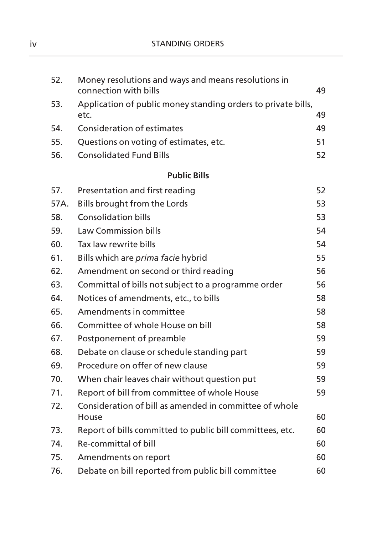| 52.  | Money resolutions and ways and means resolutions in<br>connection with bills | 49 |
|------|------------------------------------------------------------------------------|----|
| 53.  | Application of public money standing orders to private bills,<br>etc.        | 49 |
| 54.  | <b>Consideration of estimates</b>                                            | 49 |
| 55.  | Questions on voting of estimates, etc.                                       | 51 |
| 56.  | <b>Consolidated Fund Bills</b>                                               | 52 |
|      | <b>Public Bills</b>                                                          |    |
| 57.  | Presentation and first reading                                               | 52 |
| 57A. | Bills brought from the Lords                                                 | 53 |
| 58.  | <b>Consolidation bills</b>                                                   | 53 |
| 59.  | <b>Law Commission bills</b>                                                  | 54 |
| 60.  | Tax law rewrite bills                                                        | 54 |
| 61.  | Bills which are prima facie hybrid                                           | 55 |
| 62.  | Amendment on second or third reading                                         | 56 |
| 63.  | Committal of bills not subject to a programme order                          | 56 |
| 64.  | Notices of amendments, etc., to bills                                        | 58 |
| 65.  | Amendments in committee                                                      | 58 |
| 66.  | Committee of whole House on bill                                             | 58 |
| 67.  | Postponement of preamble                                                     | 59 |
| 68.  | Debate on clause or schedule standing part                                   | 59 |
| 69.  | Procedure on offer of new clause                                             | 59 |
| 70.  | When chair leaves chair without question put                                 | 59 |
| 71.  | Report of bill from committee of whole House                                 | 59 |
| 72.  | Consideration of bill as amended in committee of whole<br>House              | 60 |
| 73.  | Report of bills committed to public bill committees, etc.                    | 60 |
| 74.  | Re-committal of bill                                                         | 60 |
| 75.  | Amendments on report                                                         | 60 |
| 76.  | Debate on bill reported from public bill committee                           | 60 |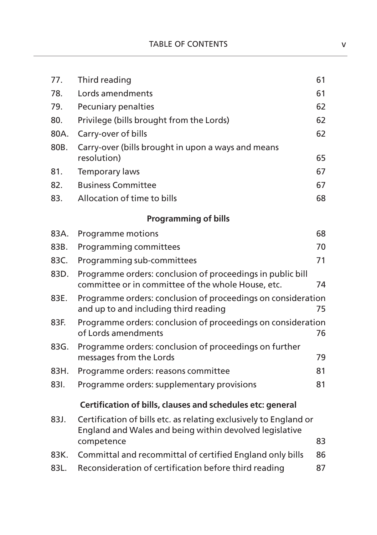| 77.  | Third reading                                                                                                                | 61 |
|------|------------------------------------------------------------------------------------------------------------------------------|----|
| 78.  | Lords amendments                                                                                                             | 61 |
| 79.  | Pecuniary penalties                                                                                                          | 62 |
| 80.  | Privilege (bills brought from the Lords)                                                                                     | 62 |
| 80A. | Carry-over of bills                                                                                                          | 62 |
| 80B. | Carry-over (bills brought in upon a ways and means<br>resolution)                                                            | 65 |
| 81.  | <b>Temporary laws</b>                                                                                                        | 67 |
| 82.  | <b>Business Committee</b>                                                                                                    | 67 |
| 83.  | Allocation of time to bills                                                                                                  | 68 |
|      | <b>Programming of bills</b>                                                                                                  |    |
| 83A. | Programme motions                                                                                                            | 68 |
| 83B. | Programming committees                                                                                                       | 70 |
| 83C. | Programming sub-committees                                                                                                   | 71 |
| 83D. | Programme orders: conclusion of proceedings in public bill<br>committee or in committee of the whole House, etc.             | 74 |
| 83E. | Programme orders: conclusion of proceedings on consideration<br>and up to and including third reading                        | 75 |
| 83F. | Programme orders: conclusion of proceedings on consideration<br>of Lords amendments                                          | 76 |
| 83G. | Programme orders: conclusion of proceedings on further<br>messages from the Lords                                            | 79 |
| 83H. | Programme orders: reasons committee                                                                                          | 81 |
| 831. | Programme orders: supplementary provisions                                                                                   | 81 |
|      | Certification of bills, clauses and schedules etc: general                                                                   |    |
| 83J. | Certification of bills etc. as relating exclusively to England or<br>England and Wales and being within devolved legislative |    |
|      | competence                                                                                                                   | 83 |
| 83K. | Committal and recommittal of certified England only bills                                                                    | 86 |
| 83L. | Reconsideration of certification before third reading                                                                        | 87 |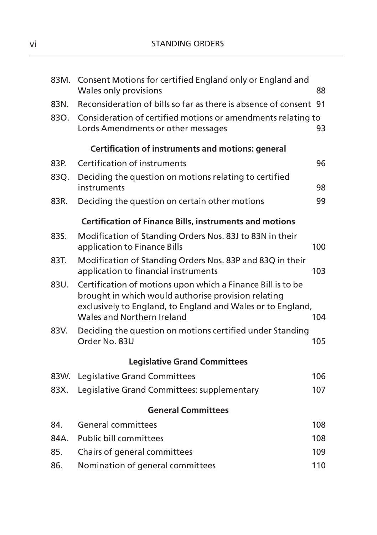| 83M. | Consent Motions for certified England only or England and<br>Wales only provisions                                                                                                                              | 88  |
|------|-----------------------------------------------------------------------------------------------------------------------------------------------------------------------------------------------------------------|-----|
| 83N. | Reconsideration of bills so far as there is absence of consent 91                                                                                                                                               |     |
| 830. | Consideration of certified motions or amendments relating to<br>Lords Amendments or other messages                                                                                                              | 93  |
|      | <b>Certification of instruments and motions: general</b>                                                                                                                                                        |     |
| 83P. | Certification of instruments                                                                                                                                                                                    | 96  |
| 83Q. | Deciding the question on motions relating to certified<br>instruments                                                                                                                                           | 98  |
| 83R. | Deciding the question on certain other motions                                                                                                                                                                  | 99  |
|      | <b>Certification of Finance Bills, instruments and motions</b>                                                                                                                                                  |     |
| 83S. | Modification of Standing Orders Nos. 83J to 83N in their<br>application to Finance Bills                                                                                                                        | 100 |
| 83T. | Modification of Standing Orders Nos. 83P and 83Q in their<br>application to financial instruments                                                                                                               | 103 |
| 83U. | Certification of motions upon which a Finance Bill is to be<br>brought in which would authorise provision relating<br>exclusively to England, to England and Wales or to England,<br>Wales and Northern Ireland | 104 |
| 83V. | Deciding the question on motions certified under Standing<br>Order No. 83U                                                                                                                                      | 105 |
|      | <b>Legislative Grand Committees</b>                                                                                                                                                                             |     |
| 83W. | Legislative Grand Committees                                                                                                                                                                                    | 106 |
| 83X. | Legislative Grand Committees: supplementary                                                                                                                                                                     | 107 |
|      | <b>General Committees</b>                                                                                                                                                                                       |     |
| 84.  | <b>General committees</b>                                                                                                                                                                                       | 108 |
| 84A. | <b>Public bill committees</b>                                                                                                                                                                                   | 108 |
| 85.  | Chairs of general committees                                                                                                                                                                                    | 109 |
| 86.  | Nomination of general committees                                                                                                                                                                                | 110 |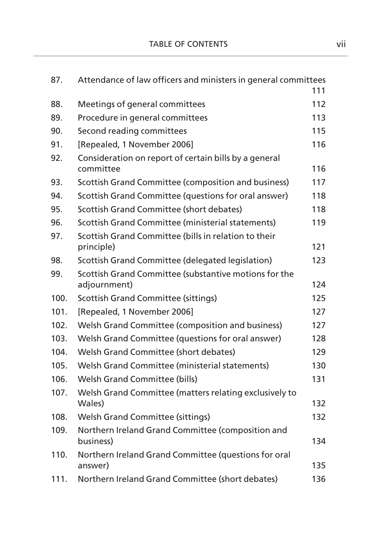| 87.  | Attendance of law officers and ministers in general committees     |     |
|------|--------------------------------------------------------------------|-----|
|      |                                                                    | 111 |
| 88.  | Meetings of general committees                                     | 112 |
| 89.  | Procedure in general committees                                    | 113 |
| 90.  | Second reading committees                                          | 115 |
| 91.  | [Repealed, 1 November 2006]                                        | 116 |
| 92.  | Consideration on report of certain bills by a general<br>committee | 116 |
| 93.  | Scottish Grand Committee (composition and business)                | 117 |
| 94.  | Scottish Grand Committee (questions for oral answer)               | 118 |
| 95.  | Scottish Grand Committee (short debates)                           | 118 |
| 96.  | Scottish Grand Committee (ministerial statements)                  | 119 |
| 97.  | Scottish Grand Committee (bills in relation to their<br>principle) | 121 |
| 98.  | Scottish Grand Committee (delegated legislation)                   | 123 |
| 99.  | Scottish Grand Committee (substantive motions for the              | 124 |
|      | adjournment)                                                       |     |
| 100. | <b>Scottish Grand Committee (sittings)</b>                         | 125 |
| 101. | [Repealed, 1 November 2006]                                        | 127 |
| 102. | Welsh Grand Committee (composition and business)                   | 127 |
| 103. | Welsh Grand Committee (questions for oral answer)                  | 128 |
| 104. | Welsh Grand Committee (short debates)                              | 129 |
| 105. | Welsh Grand Committee (ministerial statements)                     | 130 |
| 106. | Welsh Grand Committee (bills)                                      | 131 |
| 107. | Welsh Grand Committee (matters relating exclusively to<br>Wales)   | 132 |
| 108. | <b>Welsh Grand Committee (sittings)</b>                            | 132 |
| 109. | Northern Ireland Grand Committee (composition and<br>business)     | 134 |
| 110. | Northern Ireland Grand Committee (questions for oral<br>answer)    | 135 |
| 111. | Northern Ireland Grand Committee (short debates)                   | 136 |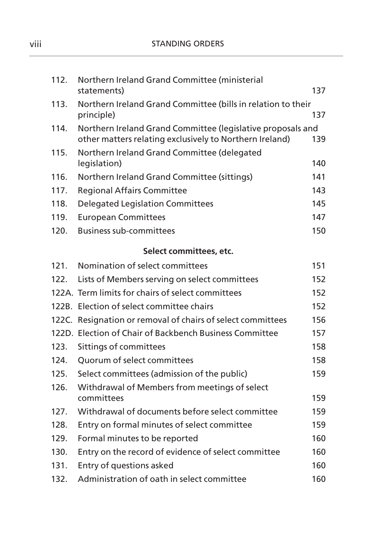| 112. | Northern Ireland Grand Committee (ministerial<br>statements) | 137 |
|------|--------------------------------------------------------------|-----|
| 113. | Northern Ireland Grand Committee (bills in relation to their |     |
|      | principle)                                                   | 137 |
| 114. | Northern Ireland Grand Committee (legislative proposals and  |     |
|      | other matters relating exclusively to Northern Ireland)      | 139 |
| 115. | Northern Ireland Grand Committee (delegated<br>legislation)  | 140 |
| 116. | Northern Ireland Grand Committee (sittings)                  | 141 |
| 117. | <b>Regional Affairs Committee</b>                            | 143 |
| 118. | <b>Delegated Legislation Committees</b>                      | 145 |
| 119. | <b>European Committees</b>                                   | 147 |
| 120. | <b>Business sub-committees</b>                               | 150 |
|      | Select committees, etc.                                      |     |
| 121. | Nomination of select committees                              | 151 |
| 122. | Lists of Members serving on select committees                | 152 |
|      | 122A. Term limits for chairs of select committees            | 152 |
|      | 122B. Election of select committee chairs                    | 152 |
|      | 122C. Resignation or removal of chairs of select committees  | 156 |
|      | 122D. Election of Chair of Backbench Business Committee      | 157 |
| 123. | Sittings of committees                                       | 158 |
| 124. | Quorum of select committees                                  | 158 |
| 125. | Select committees (admission of the public)                  | 159 |
| 126. | Withdrawal of Members from meetings of select                |     |
|      | committees                                                   | 159 |
| 127. | Withdrawal of documents before select committee              | 159 |
| 128. | Entry on formal minutes of select committee                  | 159 |
| 129. | Formal minutes to be reported                                | 160 |
| 130. | Entry on the record of evidence of select committee          | 160 |
| 131. | Entry of questions asked                                     | 160 |
| 132. | Administration of oath in select committee                   | 160 |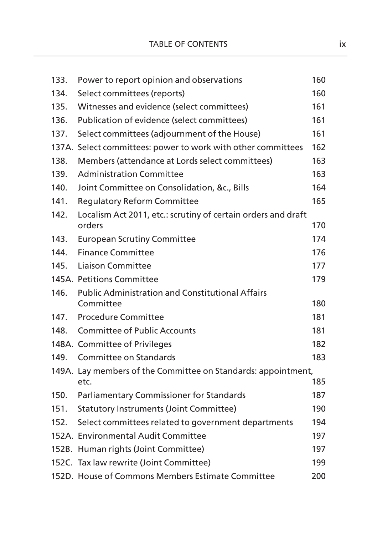| 133. | Power to report opinion and observations                              | 160 |
|------|-----------------------------------------------------------------------|-----|
| 134. | Select committees (reports)                                           | 160 |
| 135. | Witnesses and evidence (select committees)                            | 161 |
| 136. | Publication of evidence (select committees)                           | 161 |
| 137. | Select committees (adjournment of the House)                          | 161 |
|      | 137A. Select committees: power to work with other committees          | 162 |
| 138. | Members (attendance at Lords select committees)                       | 163 |
| 139. | <b>Administration Committee</b>                                       | 163 |
| 140. | Joint Committee on Consolidation, &c., Bills                          | 164 |
| 141. | <b>Regulatory Reform Committee</b>                                    | 165 |
| 142. | Localism Act 2011, etc.: scrutiny of certain orders and draft         |     |
|      | orders                                                                | 170 |
| 143. | <b>European Scrutiny Committee</b>                                    | 174 |
| 144. | <b>Finance Committee</b>                                              | 176 |
| 145. | <b>Liaison Committee</b>                                              | 177 |
|      | 145A. Petitions Committee                                             | 179 |
| 146. | <b>Public Administration and Constitutional Affairs</b>               |     |
|      | Committee                                                             | 180 |
| 147. | <b>Procedure Committee</b>                                            | 181 |
| 148. | <b>Committee of Public Accounts</b>                                   | 181 |
|      | 148A. Committee of Privileges                                         | 182 |
| 149. | Committee on Standards                                                | 183 |
|      | 149A. Lay members of the Committee on Standards: appointment,<br>etc. | 185 |
| 150. | Parliamentary Commissioner for Standards                              | 187 |
| 151. | <b>Statutory Instruments (Joint Committee)</b>                        | 190 |
| 152. | Select committees related to government departments                   | 194 |
|      | 152A. Environmental Audit Committee                                   | 197 |
|      | 152B. Human rights (Joint Committee)                                  | 197 |
|      | 152C. Tax law rewrite (Joint Committee)                               | 199 |
|      | 152D. House of Commons Members Estimate Committee                     | 200 |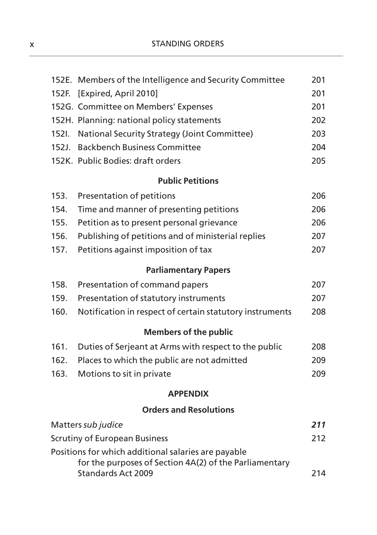|       | 152E. Members of the Intelligence and Security Committee                     | 201 |
|-------|------------------------------------------------------------------------------|-----|
| 152F. | [Expired, April 2010]                                                        | 201 |
|       | 152G. Committee on Members' Expenses                                         | 201 |
|       | 152H. Planning: national policy statements                                   | 202 |
| 152I. | National Security Strategy (Joint Committee)                                 | 203 |
| 152J. | <b>Backbench Business Committee</b>                                          | 204 |
|       | 152K. Public Bodies: draft orders                                            | 205 |
|       | <b>Public Petitions</b>                                                      |     |
| 153.  | Presentation of petitions                                                    | 206 |
| 154.  | Time and manner of presenting petitions                                      | 206 |
| 155.  | Petition as to present personal grievance                                    | 206 |
| 156.  | Publishing of petitions and of ministerial replies                           | 207 |
| 157.  | Petitions against imposition of tax                                          | 207 |
|       | <b>Parliamentary Papers</b>                                                  |     |
| 158.  | Presentation of command papers                                               | 207 |
| 159.  | Presentation of statutory instruments                                        | 207 |
| 160.  | Notification in respect of certain statutory instruments                     | 208 |
|       | <b>Members of the public</b>                                                 |     |
| 161.  | Duties of Serjeant at Arms with respect to the public                        | 208 |
| 162.  | Places to which the public are not admitted                                  | 209 |
| 163.  | Motions to sit in private                                                    | 209 |
|       | <b>APPENDIX</b>                                                              |     |
|       | <b>Orders and Resolutions</b>                                                |     |
|       | Matters sub judice                                                           | 211 |
|       | <b>Scrutiny of European Business</b>                                         | 212 |
|       | Positions for which additional salaries are payable                          |     |
|       | for the purposes of Section 4A(2) of the Parliamentary<br>Standards Act 2009 | 214 |
|       |                                                                              |     |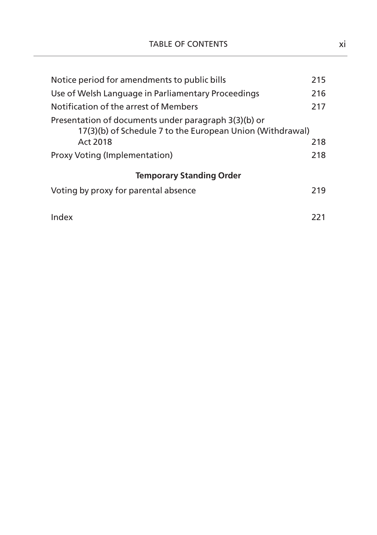| Notice period for amendments to public bills                                                                                  | 215 |
|-------------------------------------------------------------------------------------------------------------------------------|-----|
| Use of Welsh Language in Parliamentary Proceedings                                                                            | 216 |
| Notification of the arrest of Members                                                                                         | 217 |
| Presentation of documents under paragraph 3(3)(b) or<br>17(3)(b) of Schedule 7 to the European Union (Withdrawal)<br>Act 2018 | 218 |
| Proxy Voting (Implementation)                                                                                                 | 218 |
| <b>Temporary Standing Order</b>                                                                                               |     |
| Voting by proxy for parental absence                                                                                          | 219 |
| Index                                                                                                                         | 221 |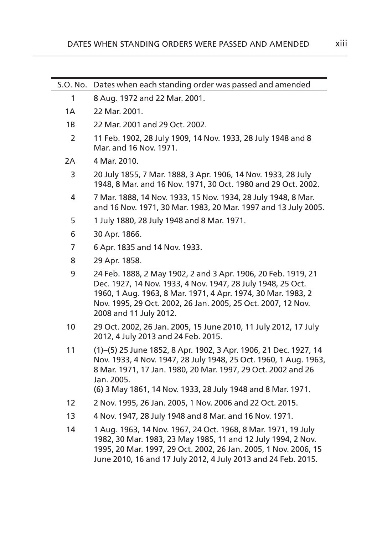| S.O. No. | Dates when each standing order was passed and amended                                                                                                                                                                                                                                  |
|----------|----------------------------------------------------------------------------------------------------------------------------------------------------------------------------------------------------------------------------------------------------------------------------------------|
| 1        | 8 Aug. 1972 and 22 Mar. 2001.                                                                                                                                                                                                                                                          |
| 1A       | 22 Mar. 2001.                                                                                                                                                                                                                                                                          |
| 1B       | 22 Mar. 2001 and 29 Oct. 2002.                                                                                                                                                                                                                                                         |
| 2        | 11 Feb. 1902, 28 July 1909, 14 Nov. 1933, 28 July 1948 and 8<br>Mar. and 16 Nov. 1971.                                                                                                                                                                                                 |
| 2A       | 4 Mar. 2010.                                                                                                                                                                                                                                                                           |
| 3        | 20 July 1855, 7 Mar. 1888, 3 Apr. 1906, 14 Nov. 1933, 28 July<br>1948, 8 Mar. and 16 Nov. 1971, 30 Oct. 1980 and 29 Oct. 2002.                                                                                                                                                         |
| 4        | 7 Mar. 1888, 14 Nov. 1933, 15 Nov. 1934, 28 July 1948, 8 Mar.<br>and 16 Nov. 1971, 30 Mar. 1983, 20 Mar. 1997 and 13 July 2005.                                                                                                                                                        |
| 5        | 1 July 1880, 28 July 1948 and 8 Mar. 1971.                                                                                                                                                                                                                                             |
| 6        | 30 Apr. 1866.                                                                                                                                                                                                                                                                          |
| 7        | 6 Apr. 1835 and 14 Nov. 1933.                                                                                                                                                                                                                                                          |
| 8        | 29 Apr. 1858.                                                                                                                                                                                                                                                                          |
| 9        | 24 Feb. 1888, 2 May 1902, 2 and 3 Apr. 1906, 20 Feb. 1919, 21<br>Dec. 1927, 14 Nov. 1933, 4 Nov. 1947, 28 July 1948, 25 Oct.<br>1960, 1 Aug. 1963, 8 Mar. 1971, 4 Apr. 1974, 30 Mar. 1983, 2<br>Nov. 1995, 29 Oct. 2002, 26 Jan. 2005, 25 Oct. 2007, 12 Nov.<br>2008 and 11 July 2012. |
| 10       | 29 Oct. 2002, 26 Jan. 2005, 15 June 2010, 11 July 2012, 17 July<br>2012, 4 July 2013 and 24 Feb. 2015.                                                                                                                                                                                 |
| 11       | (1)-(5) 25 June 1852, 8 Apr. 1902, 3 Apr. 1906, 21 Dec. 1927, 14<br>Nov. 1933, 4 Nov. 1947, 28 July 1948, 25 Oct. 1960, 1 Aug. 1963,<br>8 Mar. 1971, 17 Jan. 1980, 20 Mar. 1997, 29 Oct. 2002 and 26<br>Jan. 2005.<br>(6) 3 May 1861, 14 Nov. 1933, 28 July 1948 and 8 Mar. 1971.      |
| 12       | 2 Nov. 1995, 26 Jan. 2005, 1 Nov. 2006 and 22 Oct. 2015.                                                                                                                                                                                                                               |
| 13       | 4 Nov. 1947, 28 July 1948 and 8 Mar. and 16 Nov. 1971.                                                                                                                                                                                                                                 |
| 14       | 1 Aug. 1963, 14 Nov. 1967, 24 Oct. 1968, 8 Mar. 1971, 19 July<br>1982, 30 Mar. 1983, 23 May 1985, 11 and 12 July 1994, 2 Nov.<br>1995, 20 Mar. 1997, 29 Oct. 2002, 26 Jan. 2005, 1 Nov. 2006, 15<br>June 2010, 16 and 17 July 2012, 4 July 2013 and 24 Feb. 2015.                      |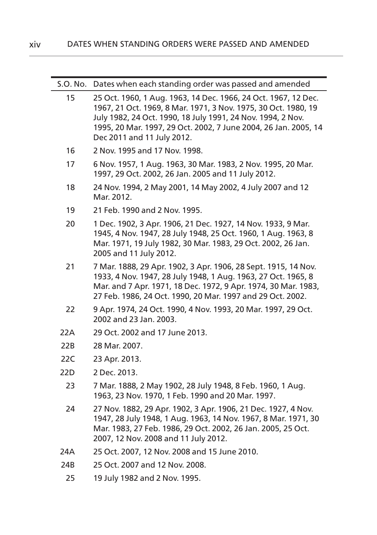| S.O. No. | Dates when each standing order was passed and amended                                                                                                                                                                                                                                            |
|----------|--------------------------------------------------------------------------------------------------------------------------------------------------------------------------------------------------------------------------------------------------------------------------------------------------|
| 15       | 25 Oct. 1960, 1 Aug. 1963, 14 Dec. 1966, 24 Oct. 1967, 12 Dec.<br>1967, 21 Oct. 1969, 8 Mar. 1971, 3 Nov. 1975, 30 Oct. 1980, 19<br>July 1982, 24 Oct. 1990, 18 July 1991, 24 Nov. 1994, 2 Nov.<br>1995, 20 Mar. 1997, 29 Oct. 2002, 7 June 2004, 26 Jan. 2005, 14<br>Dec 2011 and 11 July 2012. |
| 16       | 2 Nov. 1995 and 17 Nov. 1998.                                                                                                                                                                                                                                                                    |
| 17       | 6 Nov. 1957, 1 Aug. 1963, 30 Mar. 1983, 2 Nov. 1995, 20 Mar.<br>1997, 29 Oct. 2002, 26 Jan. 2005 and 11 July 2012.                                                                                                                                                                               |
| 18       | 24 Nov. 1994, 2 May 2001, 14 May 2002, 4 July 2007 and 12<br>Mar. 2012.                                                                                                                                                                                                                          |
| 19       | 21 Feb. 1990 and 2 Nov. 1995.                                                                                                                                                                                                                                                                    |
| 20       | 1 Dec. 1902, 3 Apr. 1906, 21 Dec. 1927, 14 Nov. 1933, 9 Mar.<br>1945, 4 Nov. 1947, 28 July 1948, 25 Oct. 1960, 1 Aug. 1963, 8<br>Mar. 1971, 19 July 1982, 30 Mar. 1983, 29 Oct. 2002, 26 Jan.<br>2005 and 11 July 2012.                                                                          |
| 21       | 7 Mar. 1888, 29 Apr. 1902, 3 Apr. 1906, 28 Sept. 1915, 14 Nov.<br>1933, 4 Nov. 1947, 28 July 1948, 1 Aug. 1963, 27 Oct. 1965, 8<br>Mar. and 7 Apr. 1971, 18 Dec. 1972, 9 Apr. 1974, 30 Mar. 1983,<br>27 Feb. 1986, 24 Oct. 1990, 20 Mar. 1997 and 29 Oct. 2002.                                  |
| 22       | 9 Apr. 1974, 24 Oct. 1990, 4 Nov. 1993, 20 Mar. 1997, 29 Oct.<br>2002 and 23 Jan. 2003.                                                                                                                                                                                                          |
| 22A      | 29 Oct. 2002 and 17 June 2013.                                                                                                                                                                                                                                                                   |
| 22B      | 28 Mar. 2007.                                                                                                                                                                                                                                                                                    |
| 22C      | 23 Apr. 2013.                                                                                                                                                                                                                                                                                    |
| 22D      | 2 Dec. 2013.                                                                                                                                                                                                                                                                                     |
| 23       | 7 Mar. 1888, 2 May 1902, 28 July 1948, 8 Feb. 1960, 1 Aug.<br>1963, 23 Nov. 1970, 1 Feb. 1990 and 20 Mar. 1997.                                                                                                                                                                                  |
| 24       | 27 Nov. 1882, 29 Apr. 1902, 3 Apr. 1906, 21 Dec. 1927, 4 Nov.<br>1947, 28 July 1948, 1 Aug. 1963, 14 Nov. 1967, 8 Mar. 1971, 30<br>Mar. 1983, 27 Feb. 1986, 29 Oct. 2002, 26 Jan. 2005, 25 Oct.<br>2007, 12 Nov. 2008 and 11 July 2012.                                                          |
| 24A      | 25 Oct. 2007, 12 Nov. 2008 and 15 June 2010.                                                                                                                                                                                                                                                     |
| 24B      | 25 Oct. 2007 and 12 Nov. 2008.                                                                                                                                                                                                                                                                   |
| 25       | 19 July 1982 and 2 Nov. 1995.                                                                                                                                                                                                                                                                    |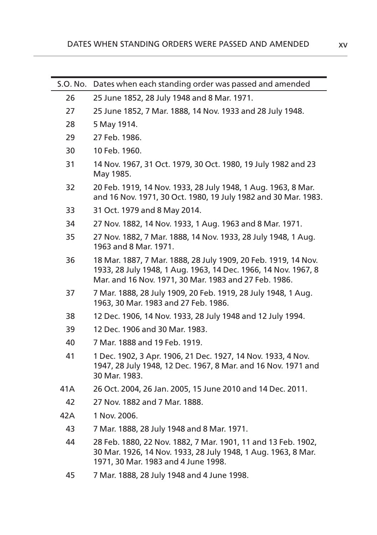| S.O. No. | Dates when each standing order was passed and amended                                                                                                                                     |
|----------|-------------------------------------------------------------------------------------------------------------------------------------------------------------------------------------------|
| 26       | 25 June 1852, 28 July 1948 and 8 Mar. 1971.                                                                                                                                               |
| 27       | 25 June 1852, 7 Mar. 1888, 14 Nov. 1933 and 28 July 1948.                                                                                                                                 |
| 28       | 5 May 1914.                                                                                                                                                                               |
| 29       | 27 Feb. 1986.                                                                                                                                                                             |
| 30       | 10 Feb. 1960.                                                                                                                                                                             |
| 31       | 14 Nov. 1967, 31 Oct. 1979, 30 Oct. 1980, 19 July 1982 and 23<br>May 1985.                                                                                                                |
| 32       | 20 Feb. 1919, 14 Nov. 1933, 28 July 1948, 1 Aug. 1963, 8 Mar.<br>and 16 Nov. 1971, 30 Oct. 1980, 19 July 1982 and 30 Mar. 1983.                                                           |
| 33       | 31 Oct. 1979 and 8 May 2014.                                                                                                                                                              |
| 34       | 27 Nov. 1882, 14 Nov. 1933, 1 Aug. 1963 and 8 Mar. 1971.                                                                                                                                  |
| 35       | 27 Nov. 1882, 7 Mar. 1888, 14 Nov. 1933, 28 July 1948, 1 Aug.<br>1963 and 8 Mar. 1971.                                                                                                    |
| 36       | 18 Mar. 1887, 7 Mar. 1888, 28 July 1909, 20 Feb. 1919, 14 Nov.<br>1933, 28 July 1948, 1 Aug. 1963, 14 Dec. 1966, 14 Nov. 1967, 8<br>Mar. and 16 Nov. 1971, 30 Mar. 1983 and 27 Feb. 1986. |
| 37       | 7 Mar. 1888, 28 July 1909, 20 Feb. 1919, 28 July 1948, 1 Aug.<br>1963, 30 Mar. 1983 and 27 Feb. 1986.                                                                                     |
| 38       | 12 Dec. 1906, 14 Nov. 1933, 28 July 1948 and 12 July 1994.                                                                                                                                |
| 39       | 12 Dec. 1906 and 30 Mar. 1983.                                                                                                                                                            |
| 40       | 7 Mar. 1888 and 19 Feb. 1919.                                                                                                                                                             |
| 41       | 1 Dec. 1902, 3 Apr. 1906, 21 Dec. 1927, 14 Nov. 1933, 4 Nov.<br>1947, 28 July 1948, 12 Dec. 1967, 8 Mar. and 16 Nov. 1971 and<br>30 Mar. 1983.                                            |
| 41A      | 26 Oct. 2004, 26 Jan. 2005, 15 June 2010 and 14 Dec. 2011.                                                                                                                                |
| 42       | 27 Nov. 1882 and 7 Mar. 1888.                                                                                                                                                             |
| 42A      | 1 Nov. 2006.                                                                                                                                                                              |
| 43       | 7 Mar. 1888, 28 July 1948 and 8 Mar. 1971.                                                                                                                                                |
| 44       | 28 Feb. 1880, 22 Nov. 1882, 7 Mar. 1901, 11 and 13 Feb. 1902,<br>30 Mar. 1926, 14 Nov. 1933, 28 July 1948, 1 Aug. 1963, 8 Mar.<br>1971, 30 Mar. 1983 and 4 June 1998.                     |
| 45       | 7 Mar. 1888, 28 July 1948 and 4 June 1998.                                                                                                                                                |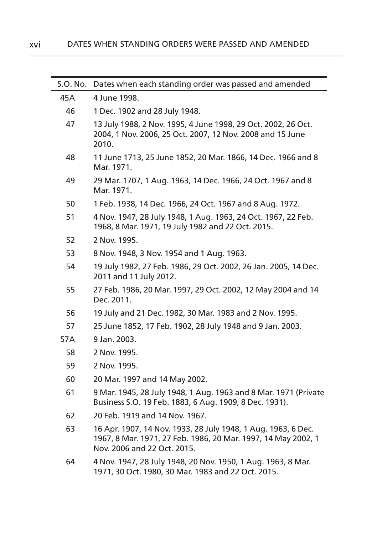| S.O. No. | Dates when each standing order was passed and amended                                                                                                         |
|----------|---------------------------------------------------------------------------------------------------------------------------------------------------------------|
| 45A      | 4 June 1998.                                                                                                                                                  |
| 46       | 1 Dec. 1902 and 28 July 1948.                                                                                                                                 |
| 47       | 13 July 1988, 2 Nov. 1995, 4 June 1998, 29 Oct. 2002, 26 Oct.<br>2004, 1 Nov. 2006, 25 Oct. 2007, 12 Nov. 2008 and 15 June<br>2010.                           |
| 48       | 11 June 1713, 25 June 1852, 20 Mar. 1866, 14 Dec. 1966 and 8<br>Mar. 1971.                                                                                    |
| 49       | 29 Mar. 1707, 1 Aug. 1963, 14 Dec. 1966, 24 Oct. 1967 and 8<br>Mar. 1971.                                                                                     |
| 50       | 1 Feb. 1938, 14 Dec. 1966, 24 Oct. 1967 and 8 Aug. 1972.                                                                                                      |
| 51       | 4 Nov. 1947, 28 July 1948, 1 Aug. 1963, 24 Oct. 1967, 22 Feb.<br>1968, 8 Mar. 1971, 19 July 1982 and 22 Oct. 2015.                                            |
| 52       | 2 Nov. 1995.                                                                                                                                                  |
| 53       | 8 Nov. 1948, 3 Nov. 1954 and 1 Aug. 1963.                                                                                                                     |
| 54       | 19 July 1982, 27 Feb. 1986, 29 Oct. 2002, 26 Jan. 2005, 14 Dec.<br>2011 and 11 July 2012.                                                                     |
| 55       | 27 Feb. 1986, 20 Mar. 1997, 29 Oct. 2002, 12 May 2004 and 14<br>Dec. 2011.                                                                                    |
| 56       | 19 July and 21 Dec. 1982, 30 Mar. 1983 and 2 Nov. 1995.                                                                                                       |
| 57       | 25 June 1852, 17 Feb. 1902, 28 July 1948 and 9 Jan. 2003.                                                                                                     |
| 57A      | 9 Jan. 2003.                                                                                                                                                  |
| 58       | 2 Nov. 1995.                                                                                                                                                  |
| 59       | 2 Nov. 1995.                                                                                                                                                  |
| 60       | 20 Mar. 1997 and 14 May 2002.                                                                                                                                 |
| 61       | 9 Mar. 1945, 28 July 1948, 1 Aug. 1963 and 8 Mar. 1971 (Private<br>Business S.O. 19 Feb. 1883, 6 Aug. 1909, 8 Dec. 1931).                                     |
| 62       | 20 Feb. 1919 and 14 Nov. 1967.                                                                                                                                |
| 63       | 16 Apr. 1907, 14 Nov. 1933, 28 July 1948, 1 Aug. 1963, 6 Dec.<br>1967, 8 Mar. 1971, 27 Feb. 1986, 20 Mar. 1997, 14 May 2002, 1<br>Nov. 2006 and 22 Oct. 2015. |
| 64       | 4 Nov. 1947, 28 July 1948, 20 Nov. 1950, 1 Aug. 1963, 8 Mar.<br>1971, 30 Oct. 1980, 30 Mar. 1983 and 22 Oct. 2015.                                            |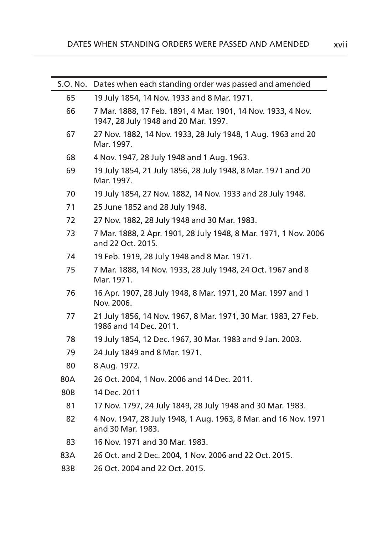| S.O. No. | Dates when each standing order was passed and amended                                                |
|----------|------------------------------------------------------------------------------------------------------|
| 65       | 19 July 1854, 14 Nov. 1933 and 8 Mar. 1971.                                                          |
| 66       | 7 Mar. 1888, 17 Feb. 1891, 4 Mar. 1901, 14 Nov. 1933, 4 Nov.<br>1947, 28 July 1948 and 20 Mar. 1997. |
| 67       | 27 Nov. 1882, 14 Nov. 1933, 28 July 1948, 1 Aug. 1963 and 20<br>Mar. 1997.                           |
| 68       | 4 Nov. 1947, 28 July 1948 and 1 Aug. 1963.                                                           |
| 69       | 19 July 1854, 21 July 1856, 28 July 1948, 8 Mar. 1971 and 20<br>Mar. 1997.                           |
| 70       | 19 July 1854, 27 Nov. 1882, 14 Nov. 1933 and 28 July 1948.                                           |
| 71       | 25 June 1852 and 28 July 1948.                                                                       |
| 72       | 27 Nov. 1882, 28 July 1948 and 30 Mar. 1983.                                                         |
| 73       | 7 Mar. 1888, 2 Apr. 1901, 28 July 1948, 8 Mar. 1971, 1 Nov. 2006<br>and 22 Oct. 2015.                |
| 74       | 19 Feb. 1919, 28 July 1948 and 8 Mar. 1971.                                                          |
| 75       | 7 Mar. 1888, 14 Nov. 1933, 28 July 1948, 24 Oct. 1967 and 8<br>Mar. 1971.                            |
| 76       | 16 Apr. 1907, 28 July 1948, 8 Mar. 1971, 20 Mar. 1997 and 1<br>Nov. 2006.                            |
| 77       | 21 July 1856, 14 Nov. 1967, 8 Mar. 1971, 30 Mar. 1983, 27 Feb.<br>1986 and 14 Dec. 2011.             |
| 78       | 19 July 1854, 12 Dec. 1967, 30 Mar. 1983 and 9 Jan. 2003.                                            |
| 79       | 24 July 1849 and 8 Mar. 1971.                                                                        |
| 80       | 8 Aug. 1972.                                                                                         |
| 80A      | 26 Oct. 2004, 1 Nov. 2006 and 14 Dec. 2011.                                                          |
| 80B      | 14 Dec. 2011                                                                                         |
| 81       | 17 Nov. 1797, 24 July 1849, 28 July 1948 and 30 Mar. 1983.                                           |
| 82       | 4 Nov. 1947, 28 July 1948, 1 Aug. 1963, 8 Mar. and 16 Nov. 1971<br>and 30 Mar. 1983.                 |
| 83       | 16 Nov. 1971 and 30 Mar. 1983.                                                                       |
| 83A      | 26 Oct. and 2 Dec. 2004, 1 Nov. 2006 and 22 Oct. 2015.                                               |
| 83B      | 26 Oct. 2004 and 22 Oct. 2015.                                                                       |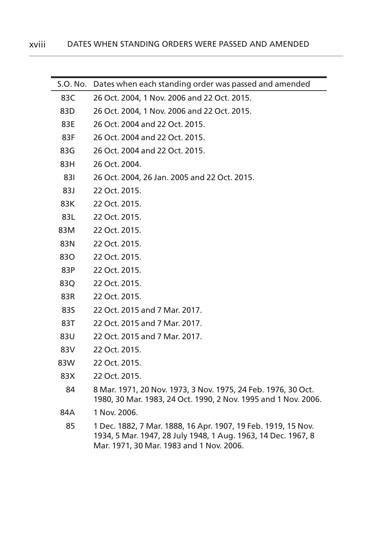| S.O. No. | Dates when each standing order was passed and amended                                                                                                                      |
|----------|----------------------------------------------------------------------------------------------------------------------------------------------------------------------------|
| 83C      | 26 Oct. 2004, 1 Nov. 2006 and 22 Oct. 2015.                                                                                                                                |
| 83D      | 26 Oct. 2004, 1 Nov. 2006 and 22 Oct. 2015.                                                                                                                                |
| 83E      | 26 Oct. 2004 and 22 Oct. 2015.                                                                                                                                             |
| 83F      | 26 Oct. 2004 and 22 Oct. 2015.                                                                                                                                             |
| 83G      | 26 Oct. 2004 and 22 Oct. 2015.                                                                                                                                             |
| 83H      | 26 Oct. 2004.                                                                                                                                                              |
| 831      | 26 Oct. 2004, 26 Jan. 2005 and 22 Oct. 2015.                                                                                                                               |
| 83J      | 22 Oct. 2015.                                                                                                                                                              |
| 83K      | 22 Oct. 2015.                                                                                                                                                              |
| 83L      | 22 Oct. 2015.                                                                                                                                                              |
| 83M      | 22 Oct. 2015.                                                                                                                                                              |
| 83N      | 22 Oct. 2015.                                                                                                                                                              |
| 830      | 22 Oct. 2015.                                                                                                                                                              |
| 83P      | 22 Oct. 2015.                                                                                                                                                              |
| 83Q      | 22 Oct. 2015.                                                                                                                                                              |
| 83R      | 22 Oct. 2015.                                                                                                                                                              |
| 83S      | 22 Oct. 2015 and 7 Mar. 2017.                                                                                                                                              |
| 83T      | 22 Oct. 2015 and 7 Mar. 2017.                                                                                                                                              |
| 83U      | 22 Oct. 2015 and 7 Mar. 2017.                                                                                                                                              |
| 83V      | 22 Oct. 2015.                                                                                                                                                              |
| 83W      | 22 Oct. 2015.                                                                                                                                                              |
| 83X      | 22 Oct. 2015.                                                                                                                                                              |
| 84       | 8 Mar. 1971, 20 Nov. 1973, 3 Nov. 1975, 24 Feb. 1976, 30 Oct.<br>1980, 30 Mar. 1983, 24 Oct. 1990, 2 Nov. 1995 and 1 Nov. 2006.                                            |
| 84A      | 1 Nov. 2006.                                                                                                                                                               |
| 85       | 1 Dec. 1882, 7 Mar. 1888, 16 Apr. 1907, 19 Feb. 1919, 15 Nov.<br>1934, 5 Mar. 1947, 28 July 1948, 1 Aug. 1963, 14 Dec. 1967, 8<br>Mar. 1971, 30 Mar. 1983 and 1 Nov. 2006. |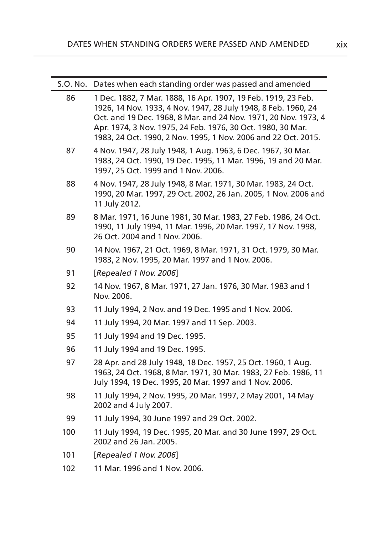| S.O. No. | Dates when each standing order was passed and amended                                                                                                                                                                                                                                                                               |
|----------|-------------------------------------------------------------------------------------------------------------------------------------------------------------------------------------------------------------------------------------------------------------------------------------------------------------------------------------|
| 86       | 1 Dec. 1882, 7 Mar. 1888, 16 Apr. 1907, 19 Feb. 1919, 23 Feb.<br>1926, 14 Nov. 1933, 4 Nov. 1947, 28 July 1948, 8 Feb. 1960, 24<br>Oct. and 19 Dec. 1968, 8 Mar. and 24 Nov. 1971, 20 Nov. 1973, 4<br>Apr. 1974, 3 Nov. 1975, 24 Feb. 1976, 30 Oct. 1980, 30 Mar.<br>1983, 24 Oct. 1990, 2 Nov. 1995, 1 Nov. 2006 and 22 Oct. 2015. |
| 87       | 4 Nov. 1947, 28 July 1948, 1 Aug. 1963, 6 Dec. 1967, 30 Mar.<br>1983, 24 Oct. 1990, 19 Dec. 1995, 11 Mar. 1996, 19 and 20 Mar.<br>1997, 25 Oct. 1999 and 1 Nov. 2006.                                                                                                                                                               |
| 88       | 4 Nov. 1947, 28 July 1948, 8 Mar. 1971, 30 Mar. 1983, 24 Oct.<br>1990, 20 Mar. 1997, 29 Oct. 2002, 26 Jan. 2005, 1 Nov. 2006 and<br>11 July 2012.                                                                                                                                                                                   |
| 89       | 8 Mar. 1971, 16 June 1981, 30 Mar. 1983, 27 Feb. 1986, 24 Oct.<br>1990, 11 July 1994, 11 Mar. 1996, 20 Mar. 1997, 17 Nov. 1998,<br>26 Oct. 2004 and 1 Nov. 2006.                                                                                                                                                                    |
| 90       | 14 Nov. 1967, 21 Oct. 1969, 8 Mar. 1971, 31 Oct. 1979, 30 Mar.<br>1983, 2 Nov. 1995, 20 Mar. 1997 and 1 Nov. 2006.                                                                                                                                                                                                                  |
| 91       | [Repealed 1 Nov. 2006]                                                                                                                                                                                                                                                                                                              |
| 92       | 14 Nov. 1967, 8 Mar. 1971, 27 Jan. 1976, 30 Mar. 1983 and 1<br>Nov. 2006.                                                                                                                                                                                                                                                           |
| 93       | 11 July 1994, 2 Nov. and 19 Dec. 1995 and 1 Nov. 2006.                                                                                                                                                                                                                                                                              |
| 94       | 11 July 1994, 20 Mar. 1997 and 11 Sep. 2003.                                                                                                                                                                                                                                                                                        |
| 95       | 11 July 1994 and 19 Dec. 1995.                                                                                                                                                                                                                                                                                                      |
| 96       | 11 July 1994 and 19 Dec. 1995.                                                                                                                                                                                                                                                                                                      |
| 97       | 28 Apr. and 28 July 1948, 18 Dec. 1957, 25 Oct. 1960, 1 Aug.<br>1963, 24 Oct. 1968, 8 Mar. 1971, 30 Mar. 1983, 27 Feb. 1986, 11<br>July 1994, 19 Dec. 1995, 20 Mar. 1997 and 1 Nov. 2006.                                                                                                                                           |
| 98       | 11 July 1994, 2 Nov. 1995, 20 Mar. 1997, 2 May 2001, 14 May<br>2002 and 4 July 2007.                                                                                                                                                                                                                                                |
| 99       | 11 July 1994, 30 June 1997 and 29 Oct. 2002.                                                                                                                                                                                                                                                                                        |
| 100      | 11 July 1994, 19 Dec. 1995, 20 Mar. and 30 June 1997, 29 Oct.<br>2002 and 26 Jan. 2005.                                                                                                                                                                                                                                             |
| 101      | [Repealed 1 Nov. 2006]                                                                                                                                                                                                                                                                                                              |
| 102      | 11 Mar. 1996 and 1 Nov. 2006.                                                                                                                                                                                                                                                                                                       |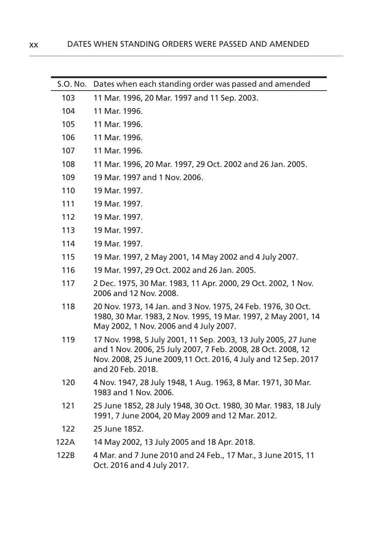| S.O. No. | Dates when each standing order was passed and amended                                                                                                                                                                 |
|----------|-----------------------------------------------------------------------------------------------------------------------------------------------------------------------------------------------------------------------|
| 103      | 11 Mar. 1996, 20 Mar. 1997 and 11 Sep. 2003.                                                                                                                                                                          |
| 104      | 11 Mar. 1996.                                                                                                                                                                                                         |
| 105      | 11 Mar. 1996.                                                                                                                                                                                                         |
| 106      | 11 Mar. 1996.                                                                                                                                                                                                         |
| 107      | 11 Mar. 1996.                                                                                                                                                                                                         |
| 108      | 11 Mar. 1996, 20 Mar. 1997, 29 Oct. 2002 and 26 Jan. 2005.                                                                                                                                                            |
| 109      | 19 Mar. 1997 and 1 Nov. 2006.                                                                                                                                                                                         |
| 110      | 19 Mar. 1997.                                                                                                                                                                                                         |
| 111      | 19 Mar. 1997.                                                                                                                                                                                                         |
| 112      | 19 Mar. 1997.                                                                                                                                                                                                         |
| 113      | 19 Mar. 1997.                                                                                                                                                                                                         |
| 114      | 19 Mar. 1997.                                                                                                                                                                                                         |
| 115      | 19 Mar. 1997, 2 May 2001, 14 May 2002 and 4 July 2007.                                                                                                                                                                |
| 116      | 19 Mar. 1997, 29 Oct. 2002 and 26 Jan. 2005.                                                                                                                                                                          |
| 117      | 2 Dec. 1975, 30 Mar. 1983, 11 Apr. 2000, 29 Oct. 2002, 1 Nov.<br>2006 and 12 Nov. 2008.                                                                                                                               |
| 118      | 20 Nov. 1973, 14 Jan. and 3 Nov. 1975, 24 Feb. 1976, 30 Oct.<br>1980, 30 Mar. 1983, 2 Nov. 1995, 19 Mar. 1997, 2 May 2001, 14<br>May 2002, 1 Nov. 2006 and 4 July 2007.                                               |
| 119      | 17 Nov. 1998, 5 July 2001, 11 Sep. 2003, 13 July 2005, 27 June<br>and 1 Nov. 2006, 25 July 2007, 7 Feb. 2008, 28 Oct. 2008, 12<br>Nov. 2008, 25 June 2009, 11 Oct. 2016, 4 July and 12 Sep. 2017<br>and 20 Feb. 2018. |
| 120      | 4 Nov. 1947, 28 July 1948, 1 Aug. 1963, 8 Mar. 1971, 30 Mar.<br>1983 and 1 Nov. 2006.                                                                                                                                 |
| 121      | 25 June 1852, 28 July 1948, 30 Oct. 1980, 30 Mar. 1983, 18 July<br>1991, 7 June 2004, 20 May 2009 and 12 Mar. 2012.                                                                                                   |
| 122      | 25 June 1852.                                                                                                                                                                                                         |
| 122A     | 14 May 2002, 13 July 2005 and 18 Apr. 2018.                                                                                                                                                                           |
| 122B     | 4 Mar. and 7 June 2010 and 24 Feb., 17 Mar., 3 June 2015, 11<br>Oct. 2016 and 4 July 2017.                                                                                                                            |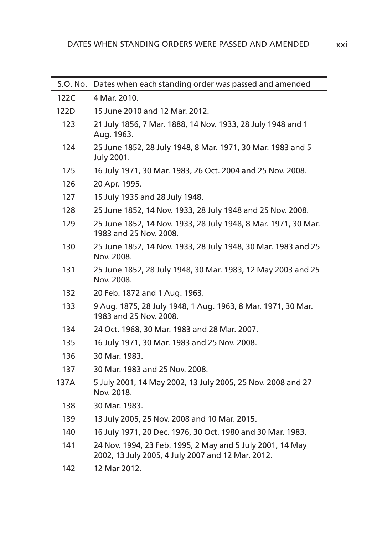| S.O. No. | Dates when each standing order was passed and amended                                                          |
|----------|----------------------------------------------------------------------------------------------------------------|
| 122C     | 4 Mar. 2010.                                                                                                   |
| 122D     | 15 June 2010 and 12 Mar. 2012.                                                                                 |
| 123      | 21 July 1856, 7 Mar. 1888, 14 Nov. 1933, 28 July 1948 and 1<br>Aug. 1963.                                      |
| 124      | 25 June 1852, 28 July 1948, 8 Mar. 1971, 30 Mar. 1983 and 5<br>July 2001.                                      |
| 125      | 16 July 1971, 30 Mar. 1983, 26 Oct. 2004 and 25 Nov. 2008.                                                     |
| 126      | 20 Apr. 1995.                                                                                                  |
| 127      | 15 July 1935 and 28 July 1948.                                                                                 |
| 128      | 25 June 1852, 14 Nov. 1933, 28 July 1948 and 25 Nov. 2008.                                                     |
| 129      | 25 June 1852, 14 Nov. 1933, 28 July 1948, 8 Mar. 1971, 30 Mar.<br>1983 and 25 Nov. 2008.                       |
| 130      | 25 June 1852, 14 Nov. 1933, 28 July 1948, 30 Mar. 1983 and 25<br>Nov. 2008.                                    |
| 131      | 25 June 1852, 28 July 1948, 30 Mar. 1983, 12 May 2003 and 25<br>Nov. 2008.                                     |
| 132      | 20 Feb. 1872 and 1 Aug. 1963.                                                                                  |
| 133      | 9 Aug. 1875, 28 July 1948, 1 Aug. 1963, 8 Mar. 1971, 30 Mar.<br>1983 and 25 Nov. 2008.                         |
| 134      | 24 Oct. 1968, 30 Mar. 1983 and 28 Mar. 2007.                                                                   |
| 135      | 16 July 1971, 30 Mar. 1983 and 25 Nov. 2008.                                                                   |
| 136      | 30 Mar. 1983.                                                                                                  |
| 137      | 30 Mar. 1983 and 25 Nov. 2008.                                                                                 |
| 137A     | 5 July 2001, 14 May 2002, 13 July 2005, 25 Nov. 2008 and 27<br>Nov. 2018.                                      |
| 138      | 30 Mar. 1983.                                                                                                  |
| 139      | 13 July 2005, 25 Nov. 2008 and 10 Mar. 2015.                                                                   |
| 140      | 16 July 1971, 20 Dec. 1976, 30 Oct. 1980 and 30 Mar. 1983.                                                     |
| 141      | 24 Nov. 1994, 23 Feb. 1995, 2 May and 5 July 2001, 14 May<br>2002, 13 July 2005, 4 July 2007 and 12 Mar. 2012. |
| 142      | 12 Mar 2012.                                                                                                   |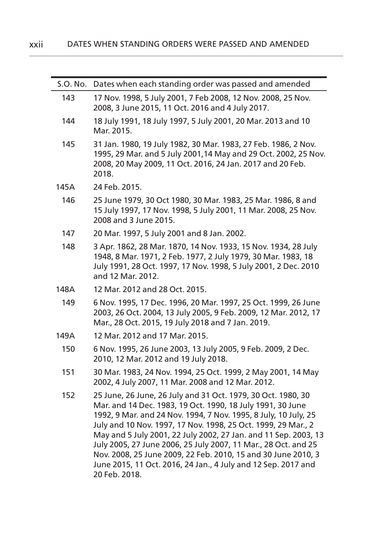| S.O. No. | Dates when each standing order was passed and amended                                                                                                                                                                                                                                                                                                                                                                                                                                                                                                  |
|----------|--------------------------------------------------------------------------------------------------------------------------------------------------------------------------------------------------------------------------------------------------------------------------------------------------------------------------------------------------------------------------------------------------------------------------------------------------------------------------------------------------------------------------------------------------------|
| 143      | 17 Nov. 1998, 5 July 2001, 7 Feb 2008, 12 Nov. 2008, 25 Nov.<br>2008, 3 June 2015, 11 Oct. 2016 and 4 July 2017.                                                                                                                                                                                                                                                                                                                                                                                                                                       |
| 144      | 18 July 1991, 18 July 1997, 5 July 2001, 20 Mar. 2013 and 10<br>Mar. 2015.                                                                                                                                                                                                                                                                                                                                                                                                                                                                             |
| 145      | 31 Jan. 1980, 19 July 1982, 30 Mar. 1983, 27 Feb. 1986, 2 Nov.<br>1995, 29 Mar. and 5 July 2001, 14 May and 29 Oct. 2002, 25 Nov.<br>2008, 20 May 2009, 11 Oct. 2016, 24 Jan. 2017 and 20 Feb.<br>2018.                                                                                                                                                                                                                                                                                                                                                |
| 145A     | 24 Feb. 2015.                                                                                                                                                                                                                                                                                                                                                                                                                                                                                                                                          |
| 146      | 25 June 1979, 30 Oct 1980, 30 Mar. 1983, 25 Mar. 1986, 8 and<br>15 July 1997, 17 Nov. 1998, 5 July 2001, 11 Mar. 2008, 25 Nov.<br>2008 and 3 June 2015.                                                                                                                                                                                                                                                                                                                                                                                                |
| 147      | 20 Mar. 1997, 5 July 2001 and 8 Jan. 2002.                                                                                                                                                                                                                                                                                                                                                                                                                                                                                                             |
| 148      | 3 Apr. 1862, 28 Mar. 1870, 14 Nov. 1933, 15 Nov. 1934, 28 July<br>1948, 8 Mar. 1971, 2 Feb. 1977, 2 July 1979, 30 Mar. 1983, 18<br>July 1991, 28 Oct. 1997, 17 Nov. 1998, 5 July 2001, 2 Dec. 2010<br>and 12 Mar. 2012.                                                                                                                                                                                                                                                                                                                                |
| 148A     | 12 Mar. 2012 and 28 Oct. 2015.                                                                                                                                                                                                                                                                                                                                                                                                                                                                                                                         |
| 149      | 6 Nov. 1995, 17 Dec. 1996, 20 Mar. 1997, 25 Oct. 1999, 26 June<br>2003, 26 Oct. 2004, 13 July 2005, 9 Feb. 2009, 12 Mar. 2012, 17<br>Mar., 28 Oct. 2015, 19 July 2018 and 7 Jan. 2019.                                                                                                                                                                                                                                                                                                                                                                 |
| 149A     | 12 Mar. 2012 and 17 Mar. 2015.                                                                                                                                                                                                                                                                                                                                                                                                                                                                                                                         |
| 150      | 6 Nov. 1995, 26 June 2003, 13 July 2005, 9 Feb. 2009, 2 Dec.<br>2010, 12 Mar. 2012 and 19 July 2018.                                                                                                                                                                                                                                                                                                                                                                                                                                                   |
| 151      | 30 Mar. 1983, 24 Nov. 1994, 25 Oct. 1999, 2 May 2001, 14 May<br>2002, 4 July 2007, 11 Mar. 2008 and 12 Mar. 2012.                                                                                                                                                                                                                                                                                                                                                                                                                                      |
| 152      | 25 June, 26 June, 26 July and 31 Oct. 1979, 30 Oct. 1980, 30<br>Mar. and 14 Dec. 1983, 19 Oct. 1990, 18 July 1991, 30 June<br>1992, 9 Mar. and 24 Nov. 1994, 7 Nov. 1995, 8 July, 10 July, 25<br>July and 10 Nov. 1997, 17 Nov. 1998, 25 Oct. 1999, 29 Mar., 2<br>May and 5 July 2001, 22 July 2002, 27 Jan. and 11 Sep. 2003, 13<br>July 2005, 27 June 2006, 25 July 2007, 11 Mar., 28 Oct. and 25<br>Nov. 2008, 25 June 2009, 22 Feb. 2010, 15 and 30 June 2010, 3<br>June 2015, 11 Oct. 2016, 24 Jan., 4 July and 12 Sep. 2017 and<br>20 Feb. 2018. |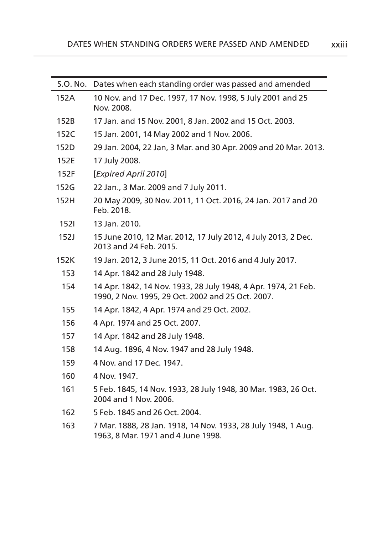| S.O. No. | Dates when each standing order was passed and amended                                                               |
|----------|---------------------------------------------------------------------------------------------------------------------|
| 152A     | 10 Nov. and 17 Dec. 1997, 17 Nov. 1998, 5 July 2001 and 25<br>Nov. 2008.                                            |
| 152B     | 17 Jan. and 15 Nov. 2001, 8 Jan. 2002 and 15 Oct. 2003.                                                             |
| 152C     | 15 Jan. 2001, 14 May 2002 and 1 Nov. 2006.                                                                          |
| 152D     | 29 Jan. 2004, 22 Jan, 3 Mar. and 30 Apr. 2009 and 20 Mar. 2013.                                                     |
| 152E     | 17 July 2008.                                                                                                       |
| 152F     | [Expired April 2010]                                                                                                |
| 152G     | 22 Jan., 3 Mar. 2009 and 7 July 2011.                                                                               |
| 152H     | 20 May 2009, 30 Nov. 2011, 11 Oct. 2016, 24 Jan. 2017 and 20<br>Feb. 2018.                                          |
| 1521     | 13 Jan. 2010.                                                                                                       |
| 152J     | 15 June 2010, 12 Mar. 2012, 17 July 2012, 4 July 2013, 2 Dec.<br>2013 and 24 Feb. 2015.                             |
| 152K     | 19 Jan. 2012, 3 June 2015, 11 Oct. 2016 and 4 July 2017.                                                            |
| 153      | 14 Apr. 1842 and 28 July 1948.                                                                                      |
| 154      | 14 Apr. 1842, 14 Nov. 1933, 28 July 1948, 4 Apr. 1974, 21 Feb.<br>1990, 2 Nov. 1995, 29 Oct. 2002 and 25 Oct. 2007. |
| 155      | 14 Apr. 1842, 4 Apr. 1974 and 29 Oct. 2002.                                                                         |
| 156      | 4 Apr. 1974 and 25 Oct. 2007.                                                                                       |
| 157      | 14 Apr. 1842 and 28 July 1948.                                                                                      |
| 158      | 14 Aug. 1896, 4 Nov. 1947 and 28 July 1948.                                                                         |
| 159      | 4 Nov. and 17 Dec. 1947.                                                                                            |
| 160      | 4 Nov. 1947.                                                                                                        |
| 161      | 5 Feb. 1845, 14 Nov. 1933, 28 July 1948, 30 Mar. 1983, 26 Oct.<br>2004 and 1 Nov. 2006.                             |
| 162      | 5 Feb. 1845 and 26 Oct. 2004.                                                                                       |
| 163      | 7 Mar. 1888, 28 Jan. 1918, 14 Nov. 1933, 28 July 1948, 1 Aug.<br>1963, 8 Mar. 1971 and 4 June 1998.                 |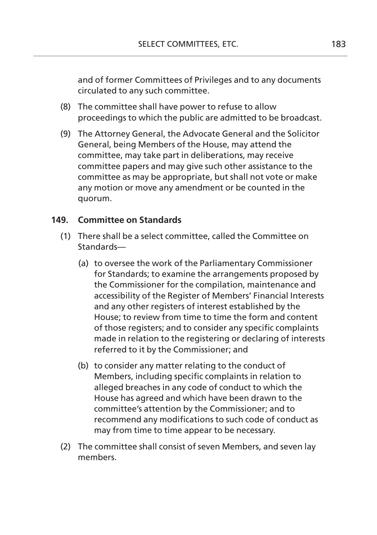and of former Committees of Privileges and to any documents circulated to any such committee.

- (8) The committee shall have power to refuse to allow proceedings to which the public are admitted to be broadcast.
- (9) The Attorney General, the Advocate General and the Solicitor General, being Members of the House, may attend the committee, may take part in deliberations, may receive committee papers and may give such other assistance to the committee as may be appropriate, but shall not vote or make any motion or move any amendment or be counted in the quorum.

## **149. Committee on Standards**

- (1) There shall be a select committee, called the Committee on Standards—
	- (a) to oversee the work of the Parliamentary Commissioner for Standards; to examine the arrangements proposed by the Commissioner for the compilation, maintenance and accessibility of the Register of Members' Financial Interests and any other registers of interest established by the House; to review from time to time the form and content of those registers; and to consider any specific complaints made in relation to the registering or declaring of interests referred to it by the Commissioner; and
	- (b) to consider any matter relating to the conduct of Members, including specific complaints in relation to alleged breaches in any code of conduct to which the House has agreed and which have been drawn to the committee's attention by the Commissioner; and to recommend any modifications to such code of conduct as may from time to time appear to be necessary.
- (2) The committee shall consist of seven Members, and seven lay members.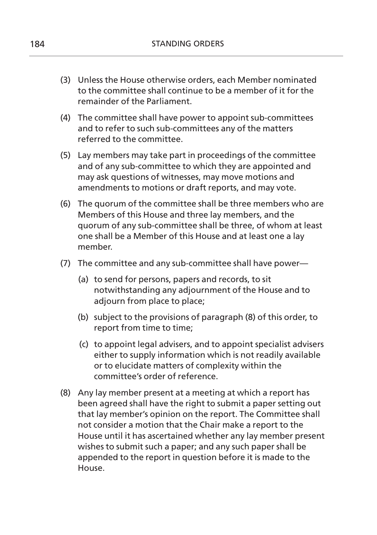- (3) Unless the House otherwise orders, each Member nominated to the committee shall continue to be a member of it for the remainder of the Parliament.
- (4) The committee shall have power to appoint sub-committees and to refer to such sub-committees any of the matters referred to the committee.
- (5) Lay members may take part in proceedings of the committee and of any sub-committee to which they are appointed and may ask questions of witnesses, may move motions and amendments to motions or draft reports, and may vote.
- (6) The quorum of the committee shall be three members who are Members of this House and three lay members, and the quorum of any sub-committee shall be three, of whom at least one shall be a Member of this House and at least one a lay member.
- (7) The committee and any sub-committee shall have power—
	- (a) to send for persons, papers and records, to sit notwithstanding any adjournment of the House and to adjourn from place to place;
	- (b) subject to the provisions of paragraph (8) of this order, to report from time to time;
	- (c) to appoint legal advisers, and to appoint specialist advisers either to supply information which is not readily available or to elucidate matters of complexity within the committee's order of reference.
- (8) Any lay member present at a meeting at which a report has been agreed shall have the right to submit a paper setting out that lay member's opinion on the report. The Committee shall not consider a motion that the Chair make a report to the House until it has ascertained whether any lay member present wishes to submit such a paper; and any such paper shall be appended to the report in question before it is made to the House.